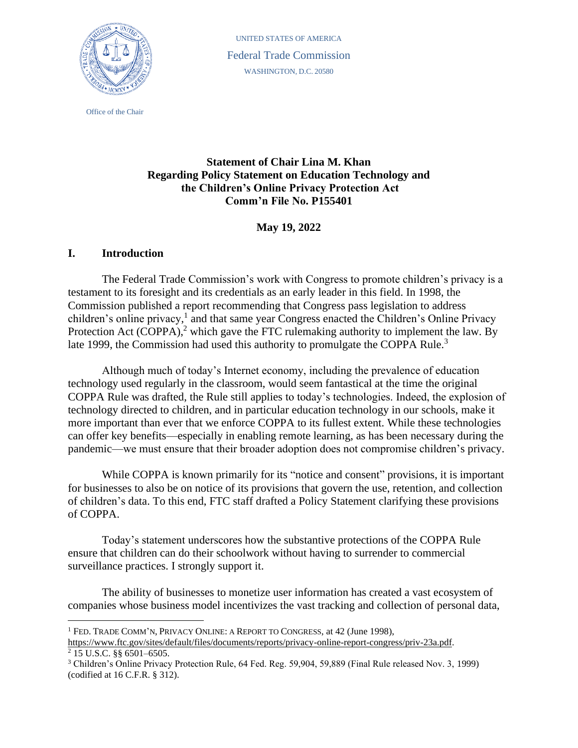

Office of the Chair

UNITED STATES OF AMERICA Federal Trade Commission WASHINGTON, D.C. 20580

# **Statement of Chair Lina M. Khan Regarding Policy Statement on Education Technology and the Children's Online Privacy Protection Act Comm'n File No. P155401**

**May 19, 2022**

## **I. Introduction**

The Federal Trade Commission's work with Congress to promote children's privacy is a testament to its foresight and its credentials as an early leader in this field. In 1998, the Commission published a report recommending that Congress pass legislation to address children's online privacy,<sup>1</sup> and that same year Congress enacted the Children's Online Privacy Protection Act (COPPA),<sup>2</sup> which gave the FTC rulemaking authority to implement the law. By late 1999, the Commission had used this authority to promulgate the COPPA Rule.<sup>3</sup>

Although much of today's Internet economy, including the prevalence of education technology used regularly in the classroom, would seem fantastical at the time the original COPPA Rule was drafted, the Rule still applies to today's technologies. Indeed, the explosion of technology directed to children, and in particular education technology in our schools, make it more important than ever that we enforce COPPA to its fullest extent. While these technologies can offer key benefits—especially in enabling remote learning, as has been necessary during the pandemic—we must ensure that their broader adoption does not compromise children's privacy.

While COPPA is known primarily for its "notice and consent" provisions, it is important for businesses to also be on notice of its provisions that govern the use, retention, and collection of children's data. To this end, FTC staff drafted a Policy Statement clarifying these provisions of COPPA.

Today's statement underscores how the substantive protections of the COPPA Rule ensure that children can do their schoolwork without having to surrender to commercial surveillance practices. I strongly support it.

The ability of businesses to monetize user information has created a vast ecosystem of companies whose business model incentivizes the vast tracking and collection of personal data,

<sup>&</sup>lt;sup>1</sup> FED. TRADE COMM'N, PRIVACY ONLINE: A REPORT TO CONGRESS, at 42 (June 1998),

[https://www.ftc.gov/sites/default/files/documents/reports/privacy-online-report-congress/priv-23a.pdf.](https://www.ftc.gov/sites/default/files/documents/reports/privacy-online-report-congress/priv-23a.pdf)  $2$  15 U.S.C. §§ 6501–6505.

<sup>3</sup> Children's Online Privacy Protection Rule, 64 Fed. Reg. 59,904, 59,889 (Final Rule released Nov. 3, 1999) (codified at 16 C.F.R. § 312).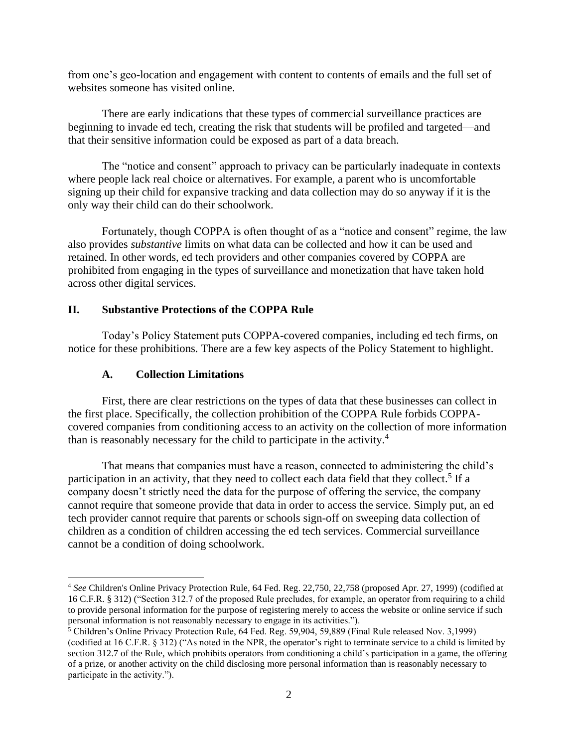from one's geo-location and engagement with content to contents of emails and the full set of websites someone has visited online.

There are early indications that these types of commercial surveillance practices are beginning to invade ed tech, creating the risk that students will be profiled and targeted—and that their sensitive information could be exposed as part of a data breach.

The "notice and consent" approach to privacy can be particularly inadequate in contexts where people lack real choice or alternatives. For example, a parent who is uncomfortable signing up their child for expansive tracking and data collection may do so anyway if it is the only way their child can do their schoolwork.

Fortunately, though COPPA is often thought of as a "notice and consent" regime, the law also provides *substantive* limits on what data can be collected and how it can be used and retained. In other words, ed tech providers and other companies covered by COPPA are prohibited from engaging in the types of surveillance and monetization that have taken hold across other digital services.

### **II. Substantive Protections of the COPPA Rule**

Today's Policy Statement puts COPPA-covered companies, including ed tech firms, on notice for these prohibitions. There are a few key aspects of the Policy Statement to highlight.

### **A. Collection Limitations**

First, there are clear restrictions on the types of data that these businesses can collect in the first place. Specifically, the collection prohibition of the COPPA Rule forbids COPPAcovered companies from conditioning access to an activity on the collection of more information than is reasonably necessary for the child to participate in the activity.<sup>4</sup>

That means that companies must have a reason, connected to administering the child's participation in an activity, that they need to collect each data field that they collect.<sup>5</sup> If a company doesn't strictly need the data for the purpose of offering the service, the company cannot require that someone provide that data in order to access the service. Simply put, an ed tech provider cannot require that parents or schools sign-off on sweeping data collection of children as a condition of children accessing the ed tech services. Commercial surveillance cannot be a condition of doing schoolwork.

<sup>4</sup> *See* Children's Online Privacy Protection Rule, 64 Fed. Reg. 22,750, 22,758 (proposed Apr. 27, 1999) (codified at 16 C.F.R. § 312) ("Section 312.7 of the proposed Rule precludes, for example, an operator from requiring to a child to provide personal information for the purpose of registering merely to access the website or online service if such personal information is not reasonably necessary to engage in its activities.").

<sup>5</sup> Children's Online Privacy Protection Rule, 64 Fed. Reg. 59,904, 59,889 (Final Rule released Nov. 3,1999) (codified at 16 C.F.R. § 312) ("As noted in the NPR, the operator's right to terminate service to a child is limited by section 312.7 of the Rule, which prohibits operators from conditioning a child's participation in a game, the offering of a prize, or another activity on the child disclosing more personal information than is reasonably necessary to participate in the activity.").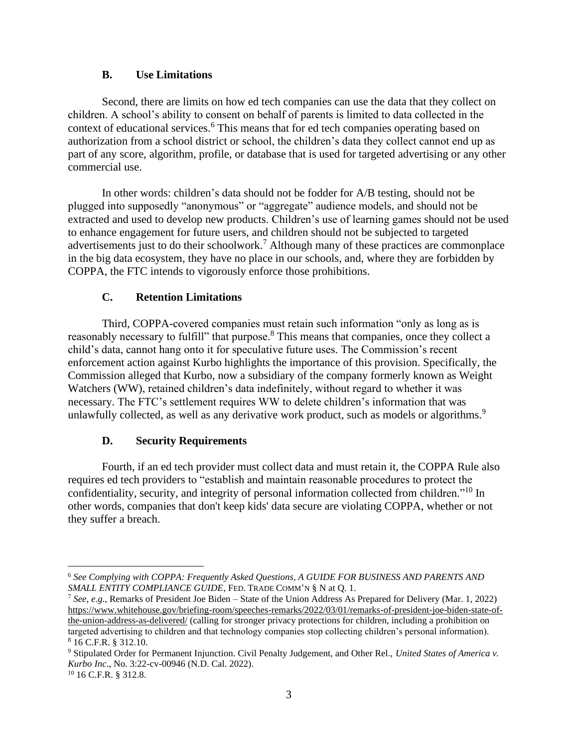#### **B. Use Limitations**

Second, there are limits on how ed tech companies can use the data that they collect on children. A school's ability to consent on behalf of parents is limited to data collected in the context of educational services.<sup>6</sup> This means that for ed tech companies operating based on authorization from a school district or school, the children's data they collect cannot end up as part of any score, algorithm, profile, or database that is used for targeted advertising or any other commercial use.

In other words: children's data should not be fodder for A/B testing, should not be plugged into supposedly "anonymous" or "aggregate" audience models, and should not be extracted and used to develop new products. Children's use of learning games should not be used to enhance engagement for future users, and children should not be subjected to targeted advertisements just to do their schoolwork.<sup>7</sup> Although many of these practices are commonplace in the big data ecosystem, they have no place in our schools, and, where they are forbidden by COPPA, the FTC intends to vigorously enforce those prohibitions.

### **C. Retention Limitations**

Third, COPPA-covered companies must retain such information "only as long as is reasonably necessary to fulfill" that purpose.<sup>8</sup> This means that companies, once they collect a child's data, cannot hang onto it for speculative future uses. The Commission's recent enforcement action against Kurbo highlights the importance of this provision. Specifically, the Commission alleged that Kurbo, now a subsidiary of the company formerly known as Weight Watchers (WW), retained children's data indefinitely, without regard to whether it was necessary. The FTC's settlement requires WW to delete children's information that was unlawfully collected, as well as any derivative work product, such as models or algorithms.<sup>9</sup>

### **D. Security Requirements**

Fourth, if an ed tech provider must collect data and must retain it, the COPPA Rule also requires ed tech providers to "establish and maintain reasonable procedures to protect the confidentiality, security, and integrity of personal information collected from children."<sup>10</sup> In other words, companies that don't keep kids' data secure are violating COPPA, whether or not they suffer a breach.

<sup>6</sup> *See Complying with COPPA: Frequently Asked Questions, A GUIDE FOR BUSINESS AND PARENTS AND SMALL ENTITY COMPLIANCE GUIDE*, FED. TRADE COMM'N § N at Q. 1.

<sup>7</sup> *See, e.g*., Remarks of President Joe Biden – State of the Union Address As Prepared for Delivery (Mar. 1, 2022) [https://www.whitehouse.gov/briefing-room/speeches-remarks/2022/03/01/remarks-of-president-joe-biden-state-of](https://www.whitehouse.gov/briefing-room/speeches-remarks/2022/03/01/remarks-of-president-joe-biden-state-of-the-union-address-as-delivered/)[the-union-address-as-delivered/](https://www.whitehouse.gov/briefing-room/speeches-remarks/2022/03/01/remarks-of-president-joe-biden-state-of-the-union-address-as-delivered/) (calling for stronger privacy protections for children, including a prohibition on targeted advertising to children and that technology companies stop collecting children's personal information). <sup>8</sup> 16 C.F.R. § 312.10.

<sup>9</sup> Stipulated Order for Permanent Injunction. Civil Penalty Judgement, and Other Rel., *United States of America v. Kurbo Inc*., No. 3:22-cv-00946 (N.D. Cal. 2022).

<sup>10</sup> 16 C.F.R. § 312.8.